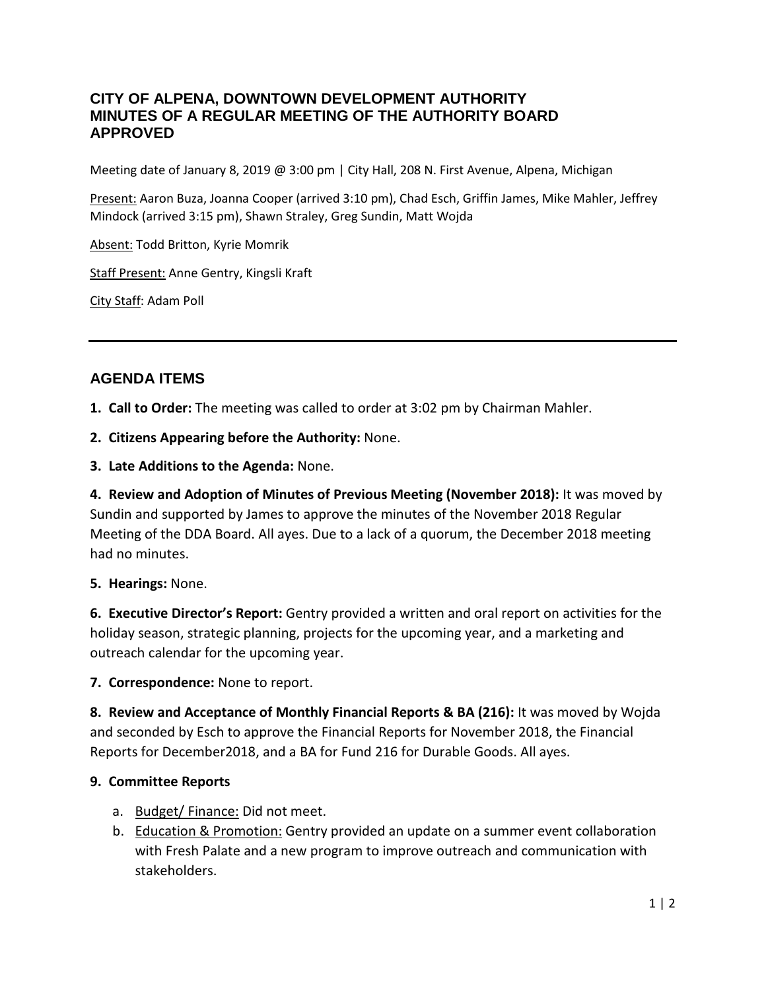## **CITY OF ALPENA, DOWNTOWN DEVELOPMENT AUTHORITY MINUTES OF A REGULAR MEETING OF THE AUTHORITY BOARD APPROVED**

Meeting date of January 8, 2019 @ 3:00 pm | City Hall, 208 N. First Avenue, Alpena, Michigan

Present: Aaron Buza, Joanna Cooper (arrived 3:10 pm), Chad Esch, Griffin James, Mike Mahler, Jeffrey Mindock (arrived 3:15 pm), Shawn Straley, Greg Sundin, Matt Wojda

Absent: Todd Britton, Kyrie Momrik

Staff Present: Anne Gentry, Kingsli Kraft

City Staff: Adam Poll

# **AGENDA ITEMS**

**1. Call to Order:** The meeting was called to order at 3:02 pm by Chairman Mahler.

**2. Citizens Appearing before the Authority:** None.

**3. Late Additions to the Agenda:** None.

**4. Review and Adoption of Minutes of Previous Meeting (November 2018):** It was moved by Sundin and supported by James to approve the minutes of the November 2018 Regular Meeting of the DDA Board. All ayes. Due to a lack of a quorum, the December 2018 meeting had no minutes.

#### **5. Hearings:** None.

**6. Executive Director's Report:** Gentry provided a written and oral report on activities for the holiday season, strategic planning, projects for the upcoming year, and a marketing and outreach calendar for the upcoming year.

#### **7. Correspondence:** None to report.

**8. Review and Acceptance of Monthly Financial Reports & BA (216):** It was moved by Wojda and seconded by Esch to approve the Financial Reports for November 2018, the Financial Reports for December2018, and a BA for Fund 216 for Durable Goods. All ayes.

#### **9. Committee Reports**

- a. Budget/ Finance: Did not meet.
- b. Education & Promotion: Gentry provided an update on a summer event collaboration with Fresh Palate and a new program to improve outreach and communication with stakeholders.